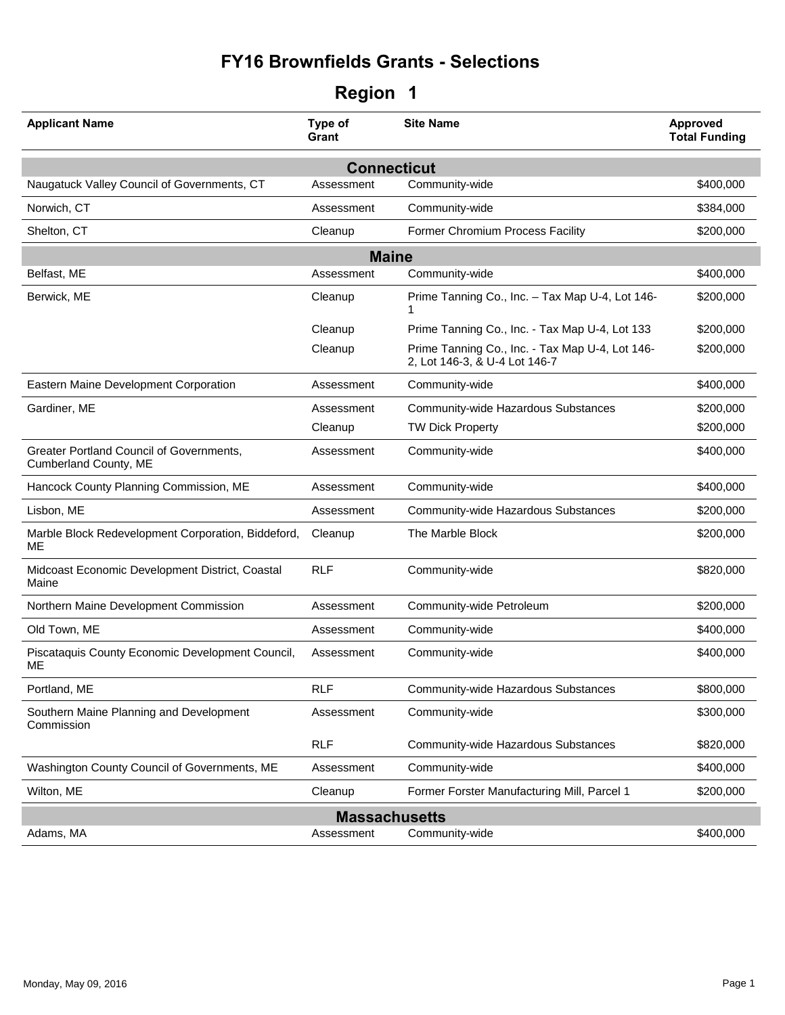| <b>Applicant Name</b>                                             | Type of<br>Grant   | <b>Site Name</b>                                                                 | Approved<br><b>Total Funding</b> |  |
|-------------------------------------------------------------------|--------------------|----------------------------------------------------------------------------------|----------------------------------|--|
|                                                                   | <b>Connecticut</b> |                                                                                  |                                  |  |
| Naugatuck Valley Council of Governments, CT                       | Assessment         | Community-wide                                                                   | \$400,000                        |  |
| Norwich, CT                                                       | Assessment         | Community-wide                                                                   | \$384,000                        |  |
| Shelton, CT                                                       | Cleanup            | Former Chromium Process Facility                                                 | \$200,000                        |  |
|                                                                   | <b>Maine</b>       |                                                                                  |                                  |  |
| Belfast, ME                                                       | Assessment         | Community-wide                                                                   | \$400,000                        |  |
| Berwick, ME                                                       | Cleanup            | Prime Tanning Co., Inc. - Tax Map U-4, Lot 146-<br>1                             | \$200,000                        |  |
|                                                                   | Cleanup            | Prime Tanning Co., Inc. - Tax Map U-4, Lot 133                                   | \$200,000                        |  |
|                                                                   | Cleanup            | Prime Tanning Co., Inc. - Tax Map U-4, Lot 146-<br>2, Lot 146-3, & U-4 Lot 146-7 | \$200,000                        |  |
| Eastern Maine Development Corporation                             | Assessment         | Community-wide                                                                   | \$400,000                        |  |
| Gardiner, ME                                                      | Assessment         | Community-wide Hazardous Substances                                              | \$200,000                        |  |
|                                                                   | Cleanup            | <b>TW Dick Property</b>                                                          | \$200,000                        |  |
| Greater Portland Council of Governments,<br>Cumberland County, ME | Assessment         | Community-wide                                                                   | \$400,000                        |  |
| Hancock County Planning Commission, ME                            | Assessment         | Community-wide                                                                   | \$400,000                        |  |
| Lisbon, ME                                                        | Assessment         | Community-wide Hazardous Substances                                              | \$200,000                        |  |
| Marble Block Redevelopment Corporation, Biddeford,<br>МE          | Cleanup            | The Marble Block                                                                 | \$200,000                        |  |
| Midcoast Economic Development District, Coastal<br>Maine          | <b>RLF</b>         | Community-wide                                                                   | \$820,000                        |  |
| Northern Maine Development Commission                             | Assessment         | Community-wide Petroleum                                                         | \$200,000                        |  |
| Old Town, ME                                                      | Assessment         | Community-wide                                                                   | \$400,000                        |  |
| Piscataquis County Economic Development Council,<br>МE            | Assessment         | Community-wide                                                                   | \$400,000                        |  |
| Portland, ME                                                      | <b>RLF</b>         | Community-wide Hazardous Substances                                              | \$800,000                        |  |
| Southern Maine Planning and Development<br>Commission             | Assessment         | Community-wide                                                                   | \$300,000                        |  |
|                                                                   | <b>RLF</b>         | Community-wide Hazardous Substances                                              | \$820,000                        |  |
| Washington County Council of Governments, ME                      | Assessment         | Community-wide                                                                   | \$400,000                        |  |
| Wilton, ME                                                        | Cleanup            | Former Forster Manufacturing Mill, Parcel 1                                      | \$200,000                        |  |
| <b>Massachusetts</b>                                              |                    |                                                                                  |                                  |  |
| Adams, MA                                                         | Assessment         | Community-wide                                                                   | \$400,000                        |  |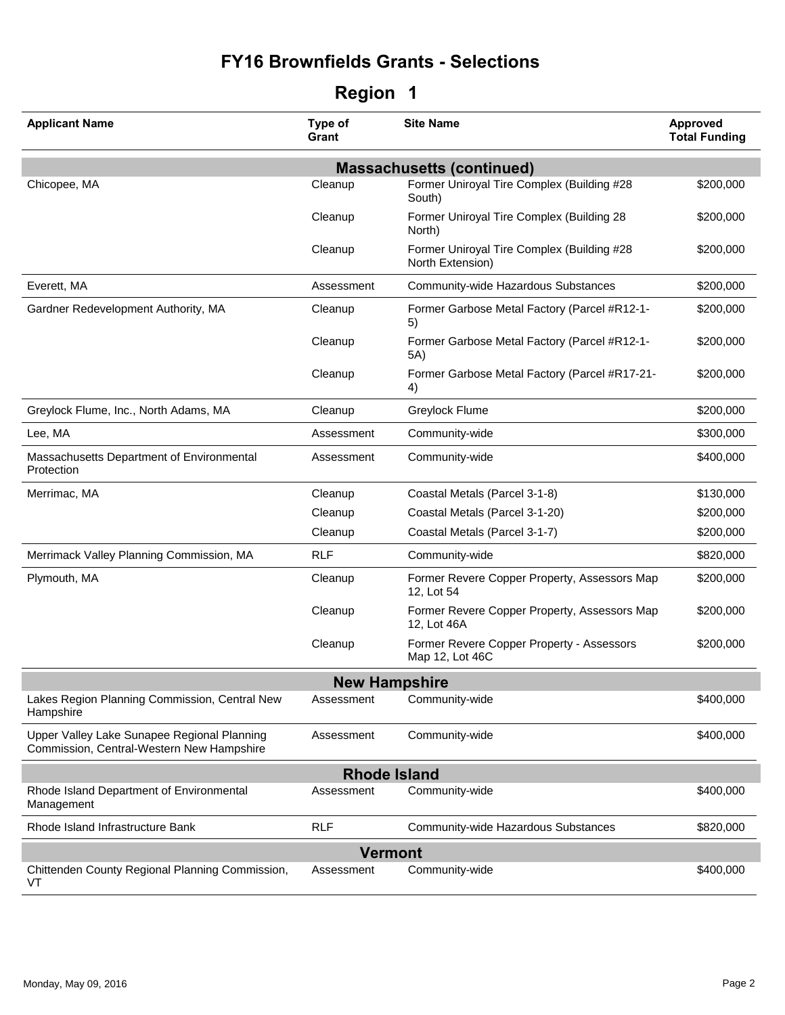| <b>Applicant Name</b>                                                                    | Type of<br>Grant     | <b>Site Name</b>                                               | Approved<br><b>Total Funding</b> |
|------------------------------------------------------------------------------------------|----------------------|----------------------------------------------------------------|----------------------------------|
|                                                                                          |                      | <b>Massachusetts (continued)</b>                               |                                  |
| Chicopee, MA                                                                             | Cleanup              | Former Uniroyal Tire Complex (Building #28<br>South)           | \$200,000                        |
|                                                                                          | Cleanup              | Former Uniroyal Tire Complex (Building 28<br>North)            | \$200,000                        |
|                                                                                          | Cleanup              | Former Uniroyal Tire Complex (Building #28<br>North Extension) | \$200,000                        |
| Everett, MA                                                                              | Assessment           | Community-wide Hazardous Substances                            | \$200,000                        |
| Gardner Redevelopment Authority, MA                                                      | Cleanup              | Former Garbose Metal Factory (Parcel #R12-1-<br>5)             | \$200,000                        |
|                                                                                          | Cleanup              | Former Garbose Metal Factory (Parcel #R12-1-<br>5A)            | \$200,000                        |
|                                                                                          | Cleanup              | Former Garbose Metal Factory (Parcel #R17-21-<br>4)            | \$200,000                        |
| Greylock Flume, Inc., North Adams, MA                                                    | Cleanup              | Greylock Flume                                                 | \$200,000                        |
| Lee, MA                                                                                  | Assessment           | Community-wide                                                 | \$300,000                        |
| Massachusetts Department of Environmental<br>Protection                                  | Assessment           | Community-wide                                                 | \$400,000                        |
| Merrimac, MA                                                                             | Cleanup              | Coastal Metals (Parcel 3-1-8)                                  | \$130,000                        |
|                                                                                          | Cleanup              | Coastal Metals (Parcel 3-1-20)                                 | \$200,000                        |
|                                                                                          | Cleanup              | Coastal Metals (Parcel 3-1-7)                                  | \$200,000                        |
| Merrimack Valley Planning Commission, MA                                                 | <b>RLF</b>           | Community-wide                                                 | \$820,000                        |
| Plymouth, MA                                                                             | Cleanup              | Former Revere Copper Property, Assessors Map<br>12, Lot 54     | \$200,000                        |
|                                                                                          | Cleanup              | Former Revere Copper Property, Assessors Map<br>12, Lot 46A    | \$200,000                        |
|                                                                                          | Cleanup              | Former Revere Copper Property - Assessors<br>Map 12, Lot 46C   | \$200,000                        |
|                                                                                          | <b>New Hampshire</b> |                                                                |                                  |
| Lakes Region Planning Commission, Central New<br>Hampshire                               | Assessment           | Community-wide                                                 | \$400,000                        |
| Upper Valley Lake Sunapee Regional Planning<br>Commission, Central-Western New Hampshire | Assessment           | Community-wide                                                 | \$400,000                        |
|                                                                                          | <b>Rhode Island</b>  |                                                                |                                  |
| Rhode Island Department of Environmental<br>Management                                   | Assessment           | Community-wide                                                 | \$400,000                        |
| Rhode Island Infrastructure Bank                                                         | <b>RLF</b>           | Community-wide Hazardous Substances                            | \$820,000                        |
|                                                                                          | <b>Vermont</b>       |                                                                |                                  |
| Chittenden County Regional Planning Commission,<br>VT                                    | Assessment           | Community-wide                                                 | \$400,000                        |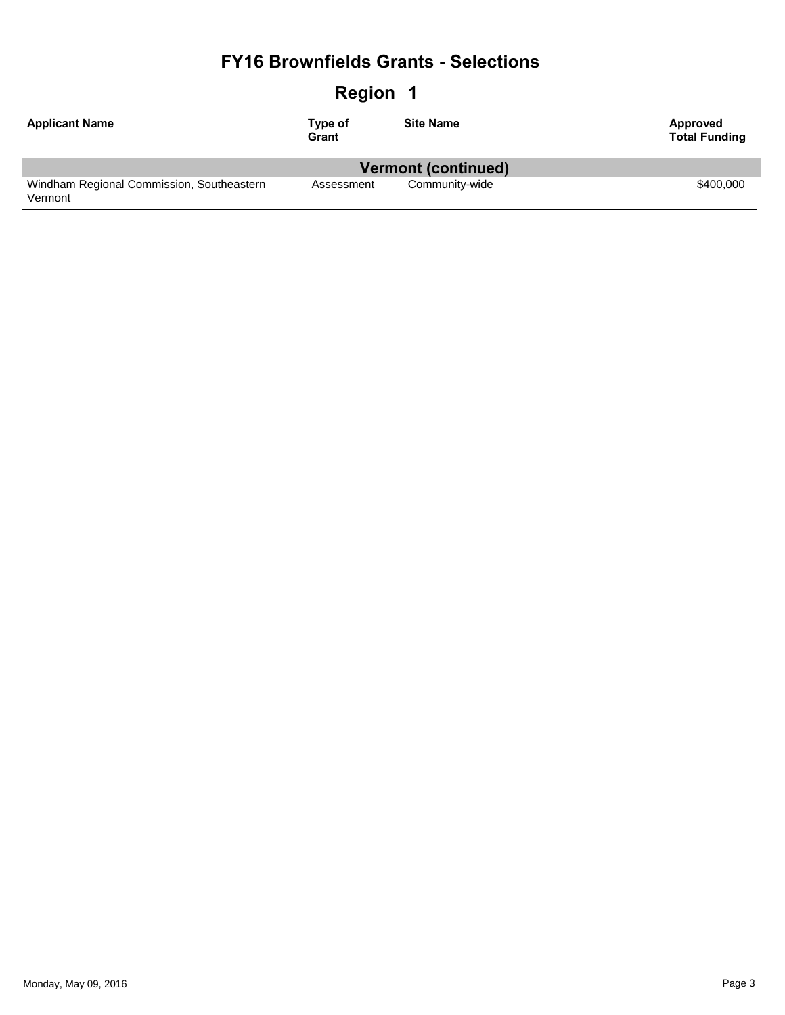| <b>Region</b><br>-1                       |                  |                            |                                  |
|-------------------------------------------|------------------|----------------------------|----------------------------------|
| <b>Applicant Name</b>                     | Type of<br>Grant | <b>Site Name</b>           | Approved<br><b>Total Funding</b> |
|                                           |                  | <b>Vermont (continued)</b> |                                  |
| Windham Regional Commission, Southeastern | Assessment       | Community-wide             | \$400,000                        |
| Vermont                                   |                  |                            |                                  |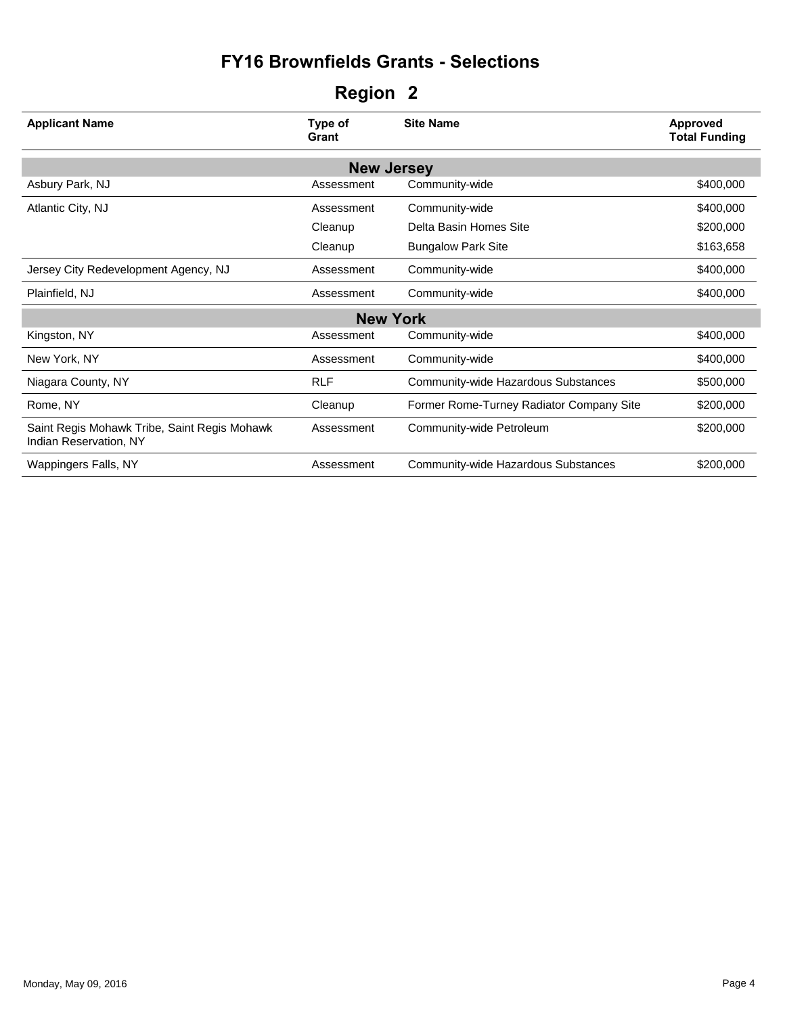| <b>Applicant Name</b>                                                  | Type of<br>Grant  | <b>Site Name</b>                         | <b>Approved</b><br><b>Total Funding</b> |
|------------------------------------------------------------------------|-------------------|------------------------------------------|-----------------------------------------|
|                                                                        | <b>New Jersey</b> |                                          |                                         |
| Asbury Park, NJ                                                        | Assessment        | Community-wide                           | \$400,000                               |
| Atlantic City, NJ                                                      | Assessment        | Community-wide                           | \$400,000                               |
|                                                                        | Cleanup           | Delta Basin Homes Site                   | \$200,000                               |
|                                                                        | Cleanup           | <b>Bungalow Park Site</b>                | \$163,658                               |
| Jersey City Redevelopment Agency, NJ                                   | Assessment        | Community-wide                           | \$400,000                               |
| Plainfield, NJ                                                         | Assessment        | Community-wide                           | \$400,000                               |
|                                                                        | <b>New York</b>   |                                          |                                         |
| Kingston, NY                                                           | Assessment        | Community-wide                           | \$400,000                               |
| New York, NY                                                           | Assessment        | Community-wide                           | \$400,000                               |
| Niagara County, NY                                                     | <b>RLF</b>        | Community-wide Hazardous Substances      | \$500,000                               |
| Rome, NY                                                               | Cleanup           | Former Rome-Turney Radiator Company Site | \$200,000                               |
| Saint Regis Mohawk Tribe, Saint Regis Mohawk<br>Indian Reservation, NY | Assessment        | Community-wide Petroleum                 | \$200,000                               |
| Wappingers Falls, NY                                                   | Assessment        | Community-wide Hazardous Substances      | \$200,000                               |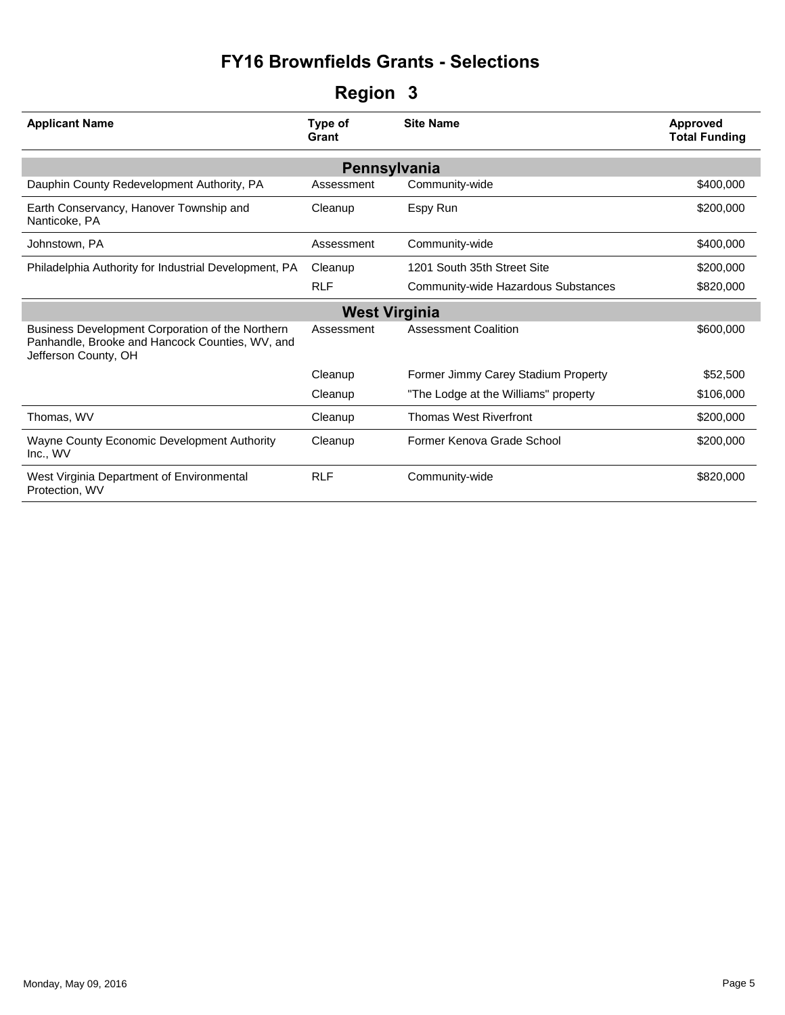| <b>Applicant Name</b>                                                                                                       | Type of<br>Grant     | <b>Site Name</b>                     | <b>Approved</b><br><b>Total Funding</b> |
|-----------------------------------------------------------------------------------------------------------------------------|----------------------|--------------------------------------|-----------------------------------------|
|                                                                                                                             | Pennsylvania         |                                      |                                         |
| Dauphin County Redevelopment Authority, PA                                                                                  | Assessment           | Community-wide                       | \$400,000                               |
| Earth Conservancy, Hanover Township and<br>Nanticoke, PA                                                                    | Cleanup              | Espy Run                             | \$200,000                               |
| Johnstown, PA                                                                                                               | Assessment           | Community-wide                       | \$400,000                               |
| Philadelphia Authority for Industrial Development, PA                                                                       | Cleanup              | 1201 South 35th Street Site          | \$200,000                               |
|                                                                                                                             | <b>RLF</b>           | Community-wide Hazardous Substances  | \$820,000                               |
|                                                                                                                             | <b>West Virginia</b> |                                      |                                         |
| Business Development Corporation of the Northern<br>Panhandle, Brooke and Hancock Counties, WV, and<br>Jefferson County, OH | Assessment           | <b>Assessment Coalition</b>          | \$600,000                               |
|                                                                                                                             | Cleanup              | Former Jimmy Carey Stadium Property  | \$52,500                                |
|                                                                                                                             | Cleanup              | "The Lodge at the Williams" property | \$106,000                               |
| Thomas, WV                                                                                                                  | Cleanup              | <b>Thomas West Riverfront</b>        | \$200,000                               |
| Wayne County Economic Development Authority<br>Inc., WV                                                                     | Cleanup              | Former Kenova Grade School           | \$200,000                               |
| West Virginia Department of Environmental<br>Protection, WV                                                                 | <b>RLF</b>           | Community-wide                       | \$820,000                               |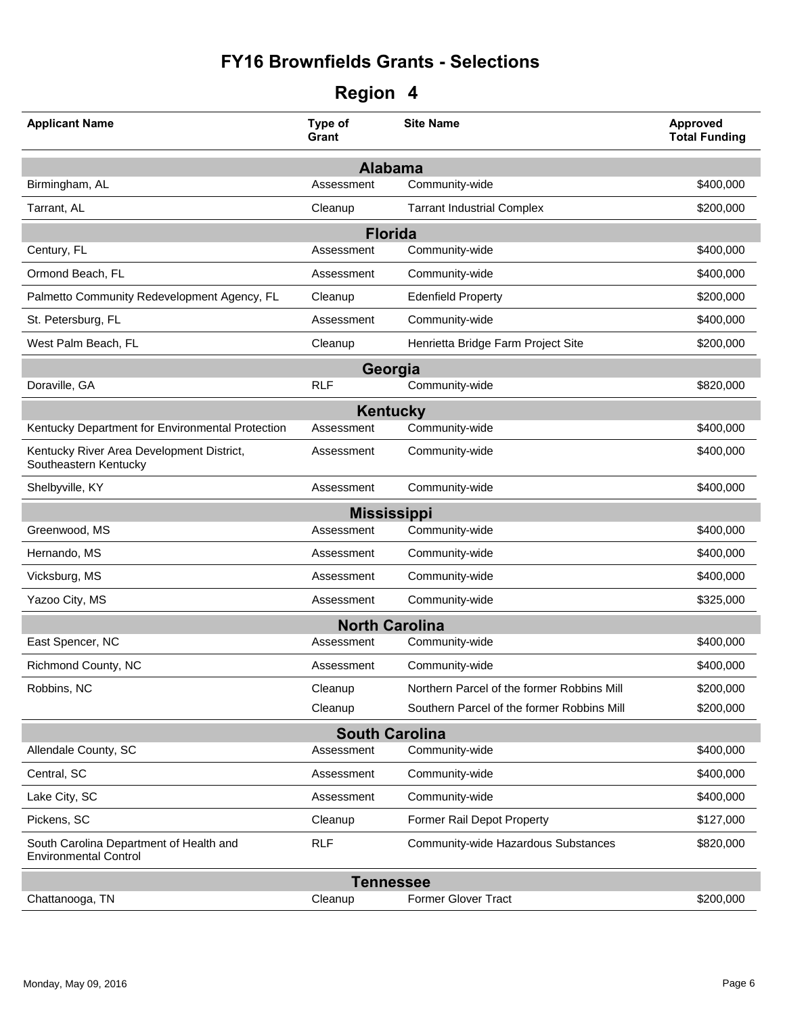| <b>Applicant Name</b>                                                   | Type of<br>Grant | <b>Site Name</b>                           | Approved<br><b>Total Funding</b> |  |
|-------------------------------------------------------------------------|------------------|--------------------------------------------|----------------------------------|--|
|                                                                         |                  | <b>Alabama</b>                             |                                  |  |
| Birmingham, AL                                                          | Assessment       | Community-wide                             | \$400,000                        |  |
| Tarrant, AL                                                             | Cleanup          | <b>Tarrant Industrial Complex</b>          | \$200,000                        |  |
|                                                                         |                  | <b>Florida</b>                             |                                  |  |
| Century, FL                                                             | Assessment       | Community-wide                             | \$400,000                        |  |
| Ormond Beach, FL                                                        | Assessment       | Community-wide                             | \$400,000                        |  |
| Palmetto Community Redevelopment Agency, FL                             | Cleanup          | <b>Edenfield Property</b>                  | \$200,000                        |  |
| St. Petersburg, FL                                                      | Assessment       | Community-wide                             | \$400,000                        |  |
| West Palm Beach, FL                                                     | Cleanup          | Henrietta Bridge Farm Project Site         | \$200,000                        |  |
|                                                                         |                  | Georgia                                    |                                  |  |
| Doraville, GA                                                           | <b>RLF</b>       | Community-wide                             | \$820,000                        |  |
|                                                                         |                  | <b>Kentucky</b>                            |                                  |  |
| Kentucky Department for Environmental Protection                        | Assessment       | Community-wide                             | \$400,000                        |  |
| Kentucky River Area Development District,<br>Southeastern Kentucky      | Assessment       | Community-wide                             | \$400,000                        |  |
| Shelbyville, KY                                                         | Assessment       | Community-wide                             | \$400,000                        |  |
|                                                                         |                  | <b>Mississippi</b>                         |                                  |  |
| Greenwood, MS                                                           | Assessment       | Community-wide                             | \$400,000                        |  |
| Hernando, MS                                                            | Assessment       | Community-wide                             | \$400,000                        |  |
| Vicksburg, MS                                                           | Assessment       | Community-wide                             | \$400,000                        |  |
| Yazoo City, MS                                                          | Assessment       | Community-wide                             | \$325,000                        |  |
|                                                                         |                  | <b>North Carolina</b>                      |                                  |  |
| East Spencer, NC                                                        | Assessment       | Community-wide                             | \$400,000                        |  |
| Richmond County, NC                                                     | Assessment       | Community-wide                             | \$400,000                        |  |
| Robbins, NC                                                             | Cleanup          | Northern Parcel of the former Robbins Mill | \$200,000                        |  |
|                                                                         | Cleanup          | Southern Parcel of the former Robbins Mill | \$200,000                        |  |
|                                                                         |                  | <b>South Carolina</b>                      |                                  |  |
| Allendale County, SC                                                    | Assessment       | Community-wide                             | \$400,000                        |  |
| Central, SC                                                             | Assessment       | Community-wide                             | \$400,000                        |  |
| Lake City, SC                                                           | Assessment       | Community-wide                             | \$400,000                        |  |
| Pickens, SC                                                             | Cleanup          | Former Rail Depot Property                 | \$127,000                        |  |
| South Carolina Department of Health and<br><b>Environmental Control</b> | <b>RLF</b>       | Community-wide Hazardous Substances        | \$820,000                        |  |
| <b>Tennessee</b>                                                        |                  |                                            |                                  |  |
| Chattanooga, TN                                                         | Cleanup          | <b>Former Glover Tract</b>                 | \$200,000                        |  |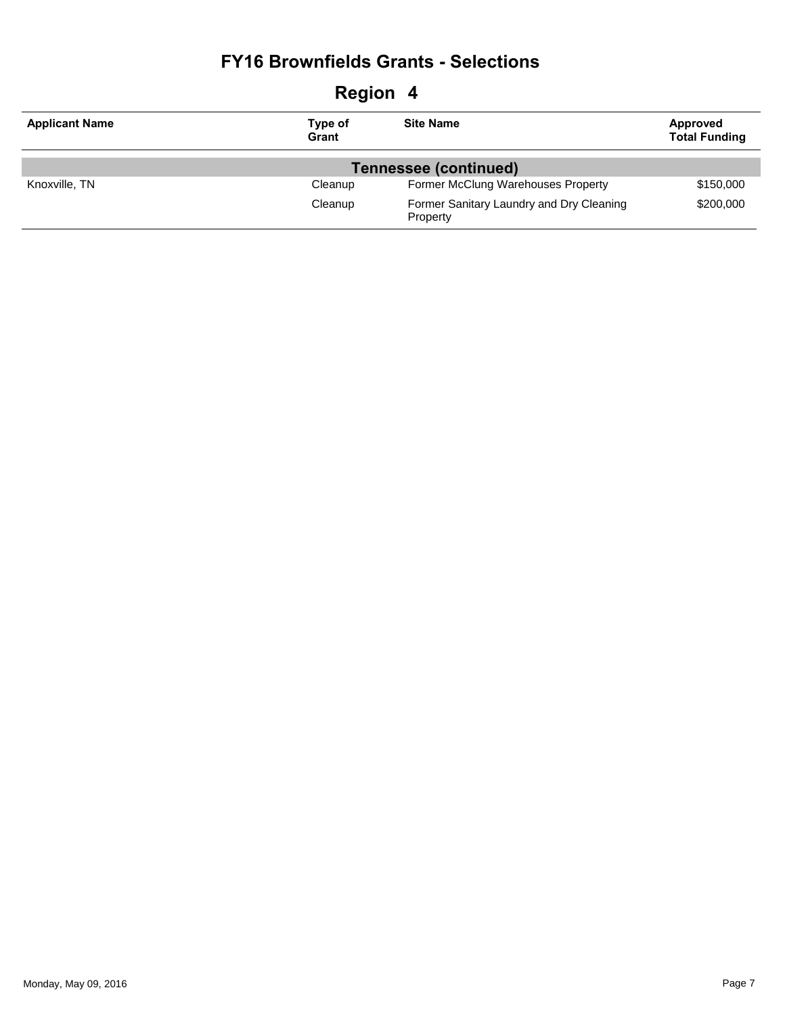| <b>Region 4</b>       |                       |                                                      |                                  |  |  |
|-----------------------|-----------------------|------------------------------------------------------|----------------------------------|--|--|
| <b>Applicant Name</b> | Type of<br>Grant      | <b>Site Name</b>                                     | Approved<br><b>Total Funding</b> |  |  |
|                       | Tennessee (continued) |                                                      |                                  |  |  |
| Knoxville, TN         | Cleanup               | Former McClung Warehouses Property                   | \$150,000                        |  |  |
|                       | Cleanup               | Former Sanitary Laundry and Dry Cleaning<br>Property | \$200,000                        |  |  |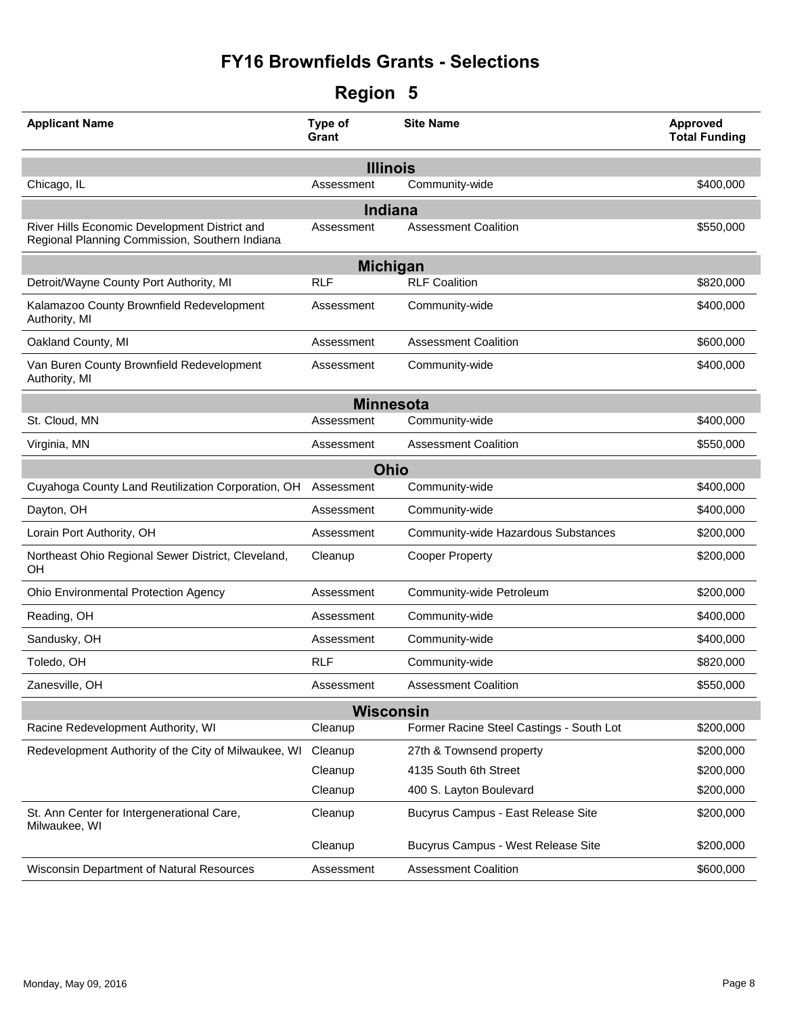| <b>Region</b> |  |
|---------------|--|
|---------------|--|

| <b>Applicant Name</b>                                                                           | Type of<br>Grant | <b>Site Name</b>                         | <b>Approved</b><br><b>Total Funding</b> |
|-------------------------------------------------------------------------------------------------|------------------|------------------------------------------|-----------------------------------------|
|                                                                                                 | <b>Illinois</b>  |                                          |                                         |
| Chicago, IL                                                                                     | Assessment       | Community-wide                           | \$400,000                               |
|                                                                                                 | Indiana          |                                          |                                         |
| River Hills Economic Development District and<br>Regional Planning Commission, Southern Indiana | Assessment       | <b>Assessment Coalition</b>              | \$550,000                               |
|                                                                                                 | <b>Michigan</b>  |                                          |                                         |
| Detroit/Wayne County Port Authority, MI                                                         | <b>RLF</b>       | <b>RLF Coalition</b>                     | \$820,000                               |
| Kalamazoo County Brownfield Redevelopment<br>Authority, MI                                      | Assessment       | Community-wide                           | \$400,000                               |
| Oakland County, MI                                                                              | Assessment       | <b>Assessment Coalition</b>              | \$600,000                               |
| Van Buren County Brownfield Redevelopment<br>Authority, MI                                      | Assessment       | Community-wide                           | \$400,000                               |
|                                                                                                 | <b>Minnesota</b> |                                          |                                         |
| St. Cloud, MN                                                                                   | Assessment       | Community-wide                           | \$400,000                               |
| Virginia, MN                                                                                    | Assessment       | <b>Assessment Coalition</b>              | \$550,000                               |
|                                                                                                 | <b>Ohio</b>      |                                          |                                         |
| Cuyahoga County Land Reutilization Corporation, OH                                              | Assessment       | Community-wide                           | \$400,000                               |
| Dayton, OH                                                                                      | Assessment       | Community-wide                           | \$400,000                               |
| Lorain Port Authority, OH                                                                       | Assessment       | Community-wide Hazardous Substances      | \$200,000                               |
| Northeast Ohio Regional Sewer District, Cleveland,<br>OН                                        | Cleanup          | <b>Cooper Property</b>                   | \$200,000                               |
| Ohio Environmental Protection Agency                                                            | Assessment       | Community-wide Petroleum                 | \$200,000                               |
| Reading, OH                                                                                     | Assessment       | Community-wide                           | \$400,000                               |
| Sandusky, OH                                                                                    | Assessment       | Community-wide                           | \$400,000                               |
| Toledo, OH                                                                                      | <b>RLF</b>       | Community-wide                           | \$820,000                               |
| Zanesville, OH                                                                                  | Assessment       | <b>Assessment Coalition</b>              | \$550,000                               |
|                                                                                                 | <b>Wisconsin</b> |                                          |                                         |
| Racine Redevelopment Authority, WI                                                              | Cleanup          | Former Racine Steel Castings - South Lot | \$200,000                               |
| Redevelopment Authority of the City of Milwaukee, WI                                            | Cleanup          | 27th & Townsend property                 | \$200,000                               |
|                                                                                                 | Cleanup          | 4135 South 6th Street                    | \$200,000                               |
|                                                                                                 | Cleanup          | 400 S. Layton Boulevard                  | \$200,000                               |
| St. Ann Center for Intergenerational Care,<br>Milwaukee, WI                                     | Cleanup          | Bucyrus Campus - East Release Site       | \$200,000                               |
|                                                                                                 | Cleanup          | Bucyrus Campus - West Release Site       | \$200,000                               |
| Wisconsin Department of Natural Resources                                                       | Assessment       | <b>Assessment Coalition</b>              | \$600,000                               |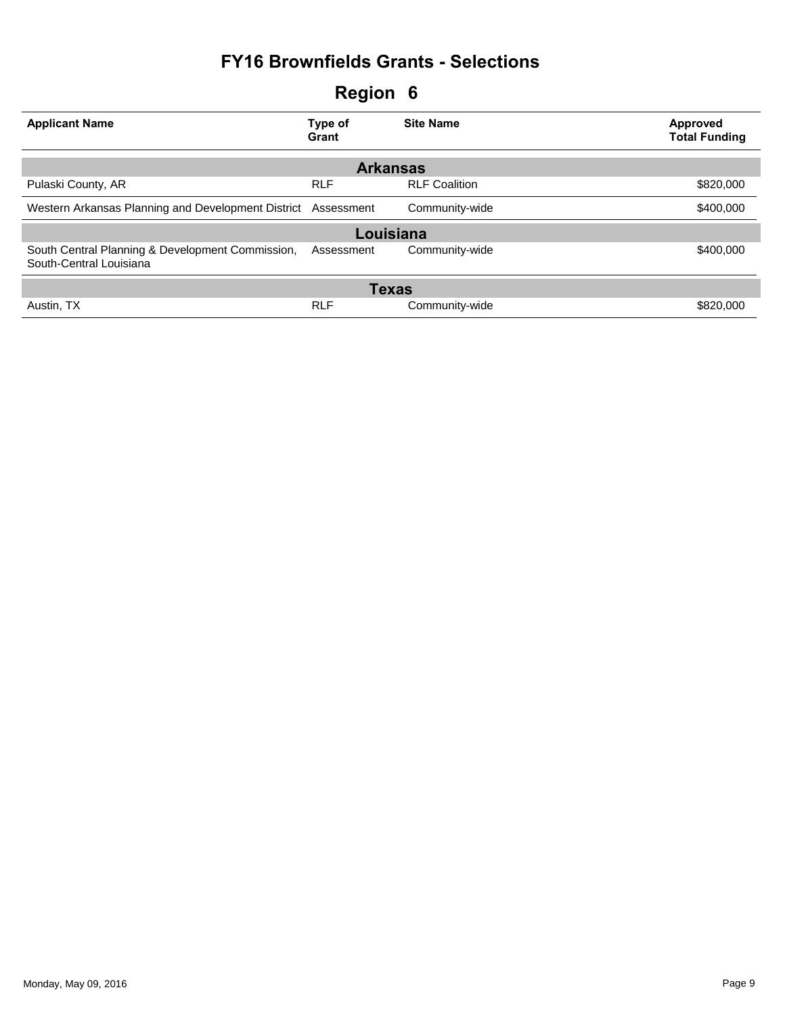| <b>Applicant Name</b>                                                       | Type of<br>Grant | <b>Site Name</b>     | Approved<br><b>Total Funding</b> |
|-----------------------------------------------------------------------------|------------------|----------------------|----------------------------------|
|                                                                             | <b>Arkansas</b>  |                      |                                  |
| Pulaski County, AR                                                          | <b>RLF</b>       | <b>RLF Coalition</b> | \$820,000                        |
| Western Arkansas Planning and Development District Assessment               |                  | Community-wide       | \$400,000                        |
|                                                                             | Louisiana        |                      |                                  |
| South Central Planning & Development Commission,<br>South-Central Louisiana | Assessment       | Community-wide       | \$400,000                        |
|                                                                             | <b>Texas</b>     |                      |                                  |
| Austin, TX                                                                  | <b>RLF</b>       | Community-wide       | \$820,000                        |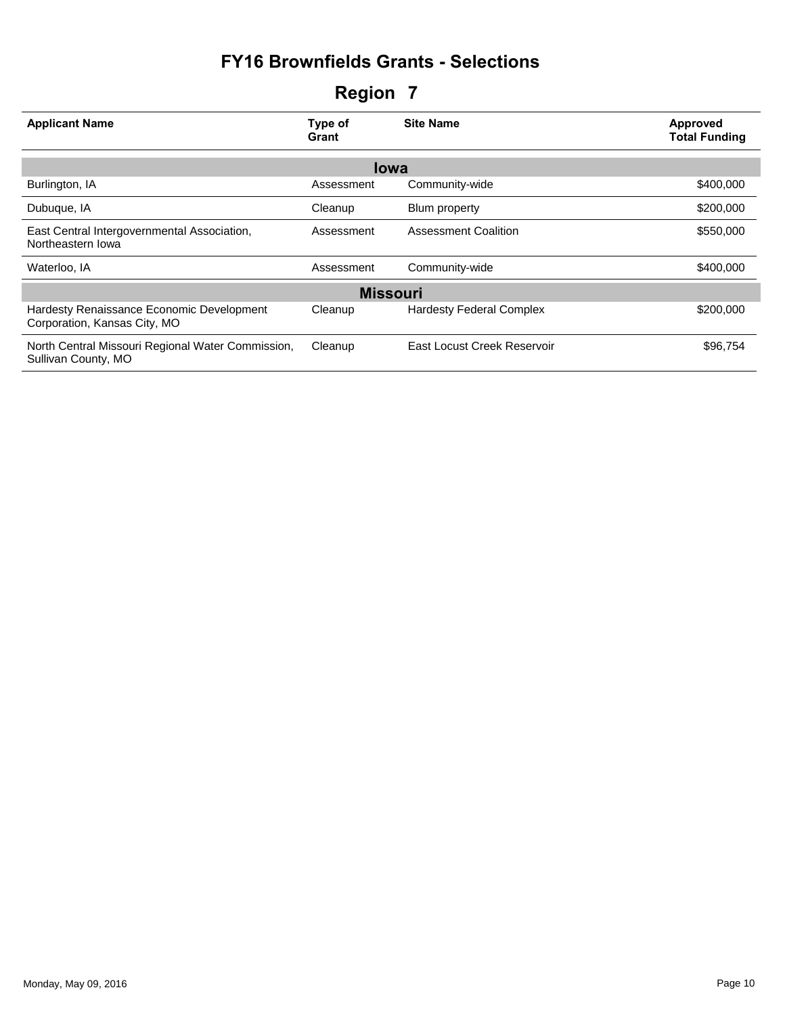| <b>Applicant Name</b>                                                     | Type of<br>Grant | <b>Site Name</b>                | Approved<br><b>Total Funding</b> |
|---------------------------------------------------------------------------|------------------|---------------------------------|----------------------------------|
|                                                                           | <b>lowa</b>      |                                 |                                  |
| Burlington, IA                                                            | Assessment       | Community-wide                  | \$400,000                        |
| Dubuque, IA                                                               | Cleanup          | Blum property                   | \$200,000                        |
| East Central Intergovernmental Association,<br>Northeastern Iowa          | Assessment       | <b>Assessment Coalition</b>     | \$550,000                        |
| Waterloo, IA                                                              | Assessment       | Community-wide                  | \$400,000                        |
|                                                                           | <b>Missouri</b>  |                                 |                                  |
| Hardesty Renaissance Economic Development<br>Corporation, Kansas City, MO | Cleanup          | <b>Hardesty Federal Complex</b> | \$200,000                        |
| North Central Missouri Regional Water Commission,<br>Sullivan County, MO  | Cleanup          | East Locust Creek Reservoir     | \$96,754                         |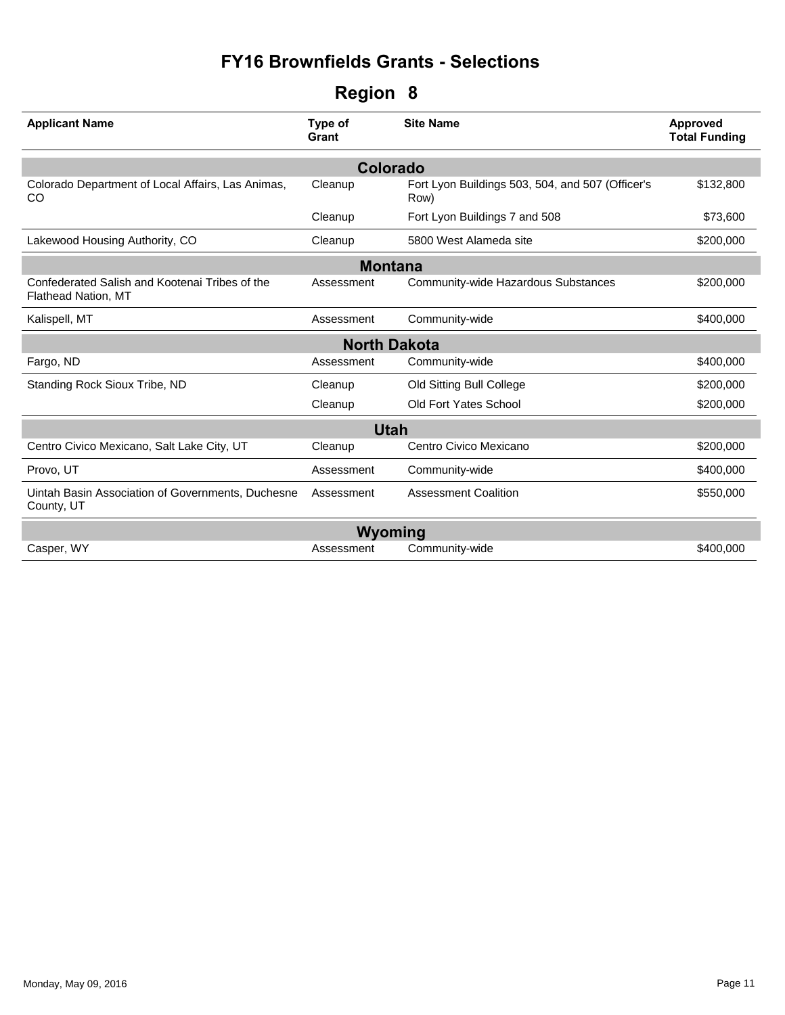| Region | 8 |
|--------|---|
|--------|---|

| <b>Applicant Name</b>                                                        | Type of<br>Grant | <b>Site Name</b>                                         | Approved<br><b>Total Funding</b> |  |  |  |
|------------------------------------------------------------------------------|------------------|----------------------------------------------------------|----------------------------------|--|--|--|
| <b>Colorado</b>                                                              |                  |                                                          |                                  |  |  |  |
| Colorado Department of Local Affairs, Las Animas,<br>CO                      | Cleanup          | Fort Lyon Buildings 503, 504, and 507 (Officer's<br>Row) | \$132,800                        |  |  |  |
|                                                                              | Cleanup          | Fort Lyon Buildings 7 and 508                            | \$73,600                         |  |  |  |
| Lakewood Housing Authority, CO                                               | Cleanup          | 5800 West Alameda site                                   | \$200,000                        |  |  |  |
| <b>Montana</b>                                                               |                  |                                                          |                                  |  |  |  |
| Confederated Salish and Kootenai Tribes of the<br><b>Flathead Nation, MT</b> | Assessment       | Community-wide Hazardous Substances                      | \$200,000                        |  |  |  |
| Kalispell, MT                                                                | Assessment       | Community-wide                                           | \$400,000                        |  |  |  |
| <b>North Dakota</b>                                                          |                  |                                                          |                                  |  |  |  |
| Fargo, ND                                                                    | Assessment       | Community-wide                                           | \$400,000                        |  |  |  |
| Standing Rock Sioux Tribe, ND                                                | Cleanup          | Old Sitting Bull College                                 | \$200,000                        |  |  |  |
|                                                                              | Cleanup          | <b>Old Fort Yates School</b>                             | \$200,000                        |  |  |  |
| <b>Utah</b>                                                                  |                  |                                                          |                                  |  |  |  |
| Centro Civico Mexicano, Salt Lake City, UT                                   | Cleanup          | Centro Civico Mexicano                                   | \$200,000                        |  |  |  |
| Provo, UT                                                                    | Assessment       | Community-wide                                           | \$400,000                        |  |  |  |
| Uintah Basin Association of Governments, Duchesne<br>County, UT              | Assessment       | <b>Assessment Coalition</b>                              | \$550,000                        |  |  |  |
| Wyoming                                                                      |                  |                                                          |                                  |  |  |  |
| Casper, WY                                                                   | Assessment       | Community-wide                                           | \$400,000                        |  |  |  |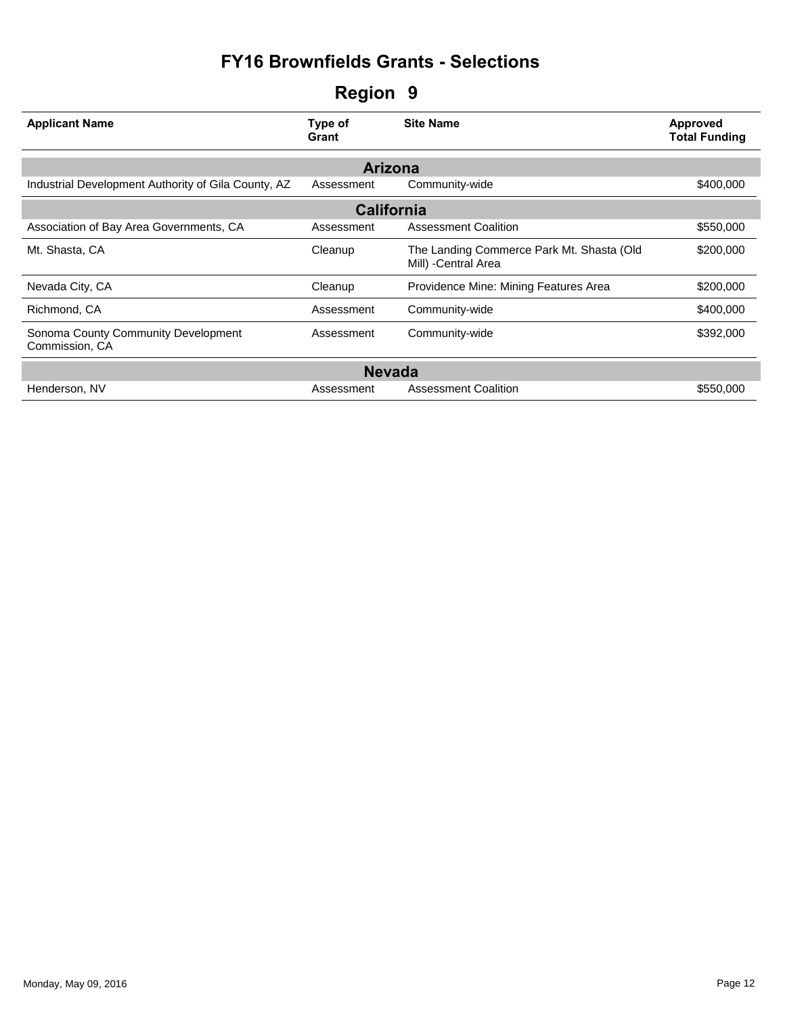| <b>Applicant Name</b>                                 | Type of<br>Grant | <b>Site Name</b>                                                  | Approved<br><b>Total Funding</b> |  |  |  |
|-------------------------------------------------------|------------------|-------------------------------------------------------------------|----------------------------------|--|--|--|
| Arizona                                               |                  |                                                                   |                                  |  |  |  |
| Industrial Development Authority of Gila County, AZ   | Assessment       | Community-wide                                                    | \$400,000                        |  |  |  |
| <b>California</b>                                     |                  |                                                                   |                                  |  |  |  |
| Association of Bay Area Governments, CA               | Assessment       | <b>Assessment Coalition</b>                                       | \$550,000                        |  |  |  |
| Mt. Shasta, CA                                        | Cleanup          | The Landing Commerce Park Mt. Shasta (Old<br>Mill) - Central Area | \$200,000                        |  |  |  |
| Nevada City, CA                                       | Cleanup          | Providence Mine: Mining Features Area                             | \$200,000                        |  |  |  |
| Richmond, CA                                          | Assessment       | Community-wide                                                    | \$400,000                        |  |  |  |
| Sonoma County Community Development<br>Commission, CA | Assessment       | Community-wide                                                    | \$392,000                        |  |  |  |
| <b>Nevada</b>                                         |                  |                                                                   |                                  |  |  |  |
| Henderson, NV                                         | Assessment       | <b>Assessment Coalition</b>                                       | \$550,000                        |  |  |  |